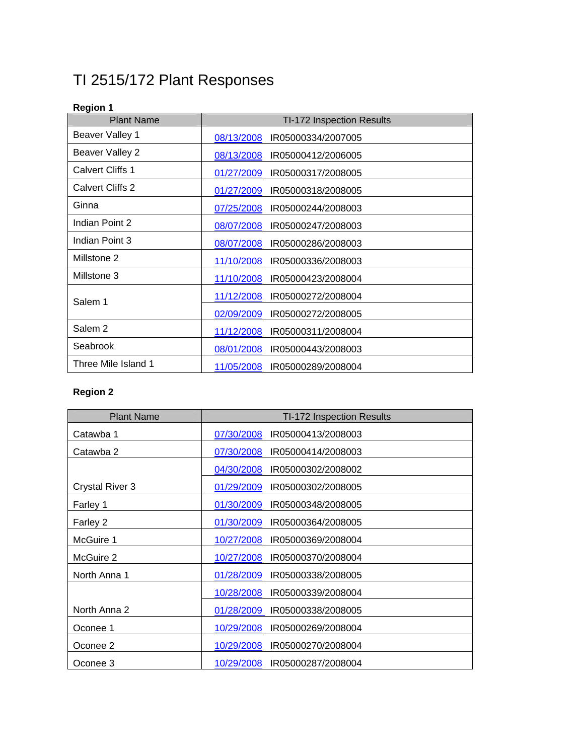# TI 2515/172 Plant Responses

## **Region 1**

| <b>Plant Name</b>       | <b>TI-172 Inspection Results</b> |
|-------------------------|----------------------------------|
| Beaver Valley 1         | 08/13/2008<br>IR05000334/2007005 |
| Beaver Valley 2         | 08/13/2008<br>IR05000412/2006005 |
| <b>Calvert Cliffs 1</b> | 01/27/2009<br>IR05000317/2008005 |
| Calvert Cliffs 2        | 01/27/2009<br>IR05000318/2008005 |
| Ginna                   | 07/25/2008<br>IR05000244/2008003 |
| Indian Point 2          | 08/07/2008<br>IR05000247/2008003 |
| Indian Point 3          | 08/07/2008<br>IR05000286/2008003 |
| Millstone 2             | 11/10/2008<br>IR05000336/2008003 |
| Millstone 3             | 11/10/2008<br>IR05000423/2008004 |
| Salem 1                 | 11/12/2008<br>IR05000272/2008004 |
|                         | 02/09/2009<br>IR05000272/2008005 |
| Salem <sub>2</sub>      | 11/12/2008<br>IR05000311/2008004 |
| Seabrook                | 08/01/2008<br>IR05000443/2008003 |
| Three Mile Island 1     | 11/05/2008<br>IR05000289/2008004 |

### **Region 2**

| <b>Plant Name</b>      | TI-172 Inspection Results        |
|------------------------|----------------------------------|
| Catawba 1              | IR05000413/2008003<br>07/30/2008 |
| Catawba 2              | 07/30/2008<br>IR05000414/2008003 |
|                        | 04/30/2008<br>IR05000302/2008002 |
| <b>Crystal River 3</b> | 01/29/2009<br>IR05000302/2008005 |
| Farley 1               | 01/30/2009<br>IR05000348/2008005 |
| Farley 2               | 01/30/2009<br>IR05000364/2008005 |
| McGuire 1              | 10/27/2008 IR05000369/2008004    |
| McGuire 2              | 10/27/2008<br>IR05000370/2008004 |
| North Anna 1           | 01/28/2009 IR05000338/2008005    |
|                        | 10/28/2008<br>IR05000339/2008004 |
| North Anna 2           | 01/28/2009<br>IR05000338/2008005 |
| Oconee 1               | 10/29/2008<br>IR05000269/2008004 |
| Oconee 2               | 10/29/2008<br>IR05000270/2008004 |
| Oconee 3               | 10/29/2008<br>IR05000287/2008004 |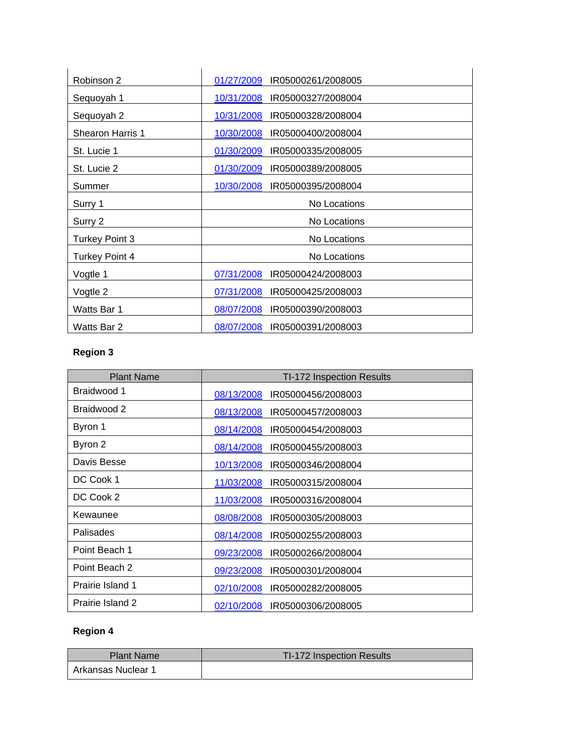| Robinson 2              | 01/27/2009<br>IR05000261/2008005 |
|-------------------------|----------------------------------|
| Sequoyah 1              | 10/31/2008<br>IR05000327/2008004 |
| Sequoyah 2              | 10/31/2008<br>IR05000328/2008004 |
| <b>Shearon Harris 1</b> | 10/30/2008<br>IR05000400/2008004 |
| St. Lucie 1             | 01/30/2009<br>IR05000335/2008005 |
| St. Lucie 2             | 01/30/2009<br>IR05000389/2008005 |
| Summer                  | 10/30/2008<br>IR05000395/2008004 |
| Surry 1                 | No Locations                     |
| Surry 2                 | No Locations                     |
| <b>Turkey Point 3</b>   | No Locations                     |
| Turkey Point 4          | No Locations                     |
| Vogtle 1                | 07/31/2008<br>IR05000424/2008003 |
| Vogtle 2                | 07/31/2008<br>IR05000425/2008003 |
| Watts Bar 1             | 08/07/2008<br>IR05000390/2008003 |
| Watts Bar 2             | 08/07/2008<br>IR05000391/2008003 |

### **Region 3**

| <b>Plant Name</b> | TI-172 Inspection Results        |
|-------------------|----------------------------------|
| Braidwood 1       | 08/13/2008<br>IR05000456/2008003 |
| Braidwood 2       | 08/13/2008<br>IR05000457/2008003 |
| Byron 1           | 08/14/2008<br>IR05000454/2008003 |
| Byron 2           | 08/14/2008<br>IR05000455/2008003 |
| Davis Besse       | 10/13/2008<br>IR05000346/2008004 |
| DC Cook 1         | 11/03/2008<br>IR05000315/2008004 |
| DC Cook 2         | 11/03/2008<br>IR05000316/2008004 |
| Kewaunee          | IR05000305/2008003<br>08/08/2008 |
| Palisades         | 08/14/2008<br>IR05000255/2008003 |
| Point Beach 1     | 09/23/2008<br>IR05000266/2008004 |
| Point Beach 2     | IR05000301/2008004<br>09/23/2008 |
| Prairie Island 1  | 02/10/2008<br>IR05000282/2008005 |
| Prairie Island 2  | 02/10/2008<br>IR05000306/2008005 |

### **Region 4**

| <b>Plant Name</b>  | TI-172 Inspection Results |
|--------------------|---------------------------|
| Arkansas Nuclear 1 |                           |